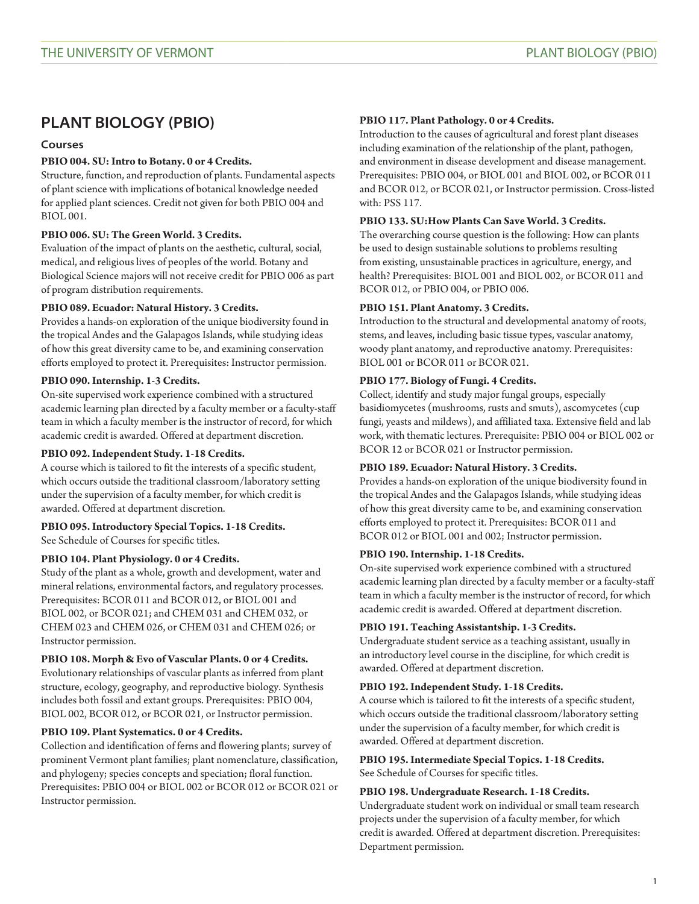# **PLANT BIOLOGY (PBIO)**

# **Courses**

# **PBIO 004. SU: Intro to Botany. 0 or 4 Credits.**

Structure, function, and reproduction of plants. Fundamental aspects of plant science with implications of botanical knowledge needed for applied plant sciences. Credit not given for both [PBIO 004](/search/?P=PBIO%20004) and [BIOL 001](/search/?P=BIOL%20001).

# **PBIO 006. SU: The Green World. 3 Credits.**

Evaluation of the impact of plants on the aesthetic, cultural, social, medical, and religious lives of peoples of the world. Botany and Biological Science majors will not receive credit for [PBIO 006](/search/?P=PBIO%20006) as part of program distribution requirements.

# **PBIO 089. Ecuador: Natural History. 3 Credits.**

Provides a hands-on exploration of the unique biodiversity found in the tropical Andes and the Galapagos Islands, while studying ideas of how this great diversity came to be, and examining conservation efforts employed to protect it. Prerequisites: Instructor permission.

# **PBIO 090. Internship. 1-3 Credits.**

On-site supervised work experience combined with a structured academic learning plan directed by a faculty member or a faculty-staff team in which a faculty member is the instructor of record, for which academic credit is awarded. Offered at department discretion.

#### **PBIO 092. Independent Study. 1-18 Credits.**

A course which is tailored to fit the interests of a specific student, which occurs outside the traditional classroom/laboratory setting under the supervision of a faculty member, for which credit is awarded. Offered at department discretion.

# **PBIO 095. Introductory Special Topics. 1-18 Credits.** See Schedule of Courses for specific titles.

# **PBIO 104. Plant Physiology. 0 or 4 Credits.**

Study of the plant as a whole, growth and development, water and mineral relations, environmental factors, and regulatory processes. Prerequisites: [BCOR 011](/search/?P=BCOR%20011) and [BCOR 012,](/search/?P=BCOR%20012) or [BIOL 001](/search/?P=BIOL%20001) and [BIOL 002](/search/?P=BIOL%20002), or [BCOR 021](/search/?P=BCOR%20021); and [CHEM 031](/search/?P=CHEM%20031) and [CHEM 032,](/search/?P=CHEM%20032) or [CHEM 023](/search/?P=CHEM%20023) and [CHEM 026,](/search/?P=CHEM%20026) or [CHEM 031](/search/?P=CHEM%20031) and [CHEM 026;](/search/?P=CHEM%20026) or Instructor permission.

#### **PBIO 108. Morph & Evo of Vascular Plants. 0 or 4 Credits.**

Evolutionary relationships of vascular plants as inferred from plant structure, ecology, geography, and reproductive biology. Synthesis includes both fossil and extant groups. Prerequisites: [PBIO 004,](/search/?P=PBIO%20004) [BIOL 002](/search/?P=BIOL%20002), [BCOR 012](/search/?P=BCOR%20012), or [BCOR 021](/search/?P=BCOR%20021), or Instructor permission.

# **PBIO 109. Plant Systematics. 0 or 4 Credits.**

Collection and identification of ferns and flowering plants; survey of prominent Vermont plant families; plant nomenclature, classification, and phylogeny; species concepts and speciation; floral function. Prerequisites: [PBIO 004](/search/?P=PBIO%20004) or [BIOL 002](/search/?P=BIOL%20002) or [BCOR 012](/search/?P=BCOR%20012) or [BCOR 021](/search/?P=BCOR%20021) or Instructor permission.

#### **PBIO 117. Plant Pathology. 0 or 4 Credits.**

Introduction to the causes of agricultural and forest plant diseases including examination of the relationship of the plant, pathogen, and environment in disease development and disease management. Prerequisites: [PBIO 004,](/search/?P=PBIO%20004) or [BIOL 001](/search/?P=BIOL%20001) and [BIOL 002,](/search/?P=BIOL%20002) or [BCOR 011](/search/?P=BCOR%20011) and [BCOR 012](/search/?P=BCOR%20012), or [BCOR 021](/search/?P=BCOR%20021), or Instructor permission. Cross-listed with: [PSS 117.](/search/?P=PSS%20117)

# **PBIO 133. SU:How Plants Can Save World. 3 Credits.**

The overarching course question is the following: How can plants be used to design sustainable solutions to problems resulting from existing, unsustainable practices in agriculture, energy, and health? Prerequisites: [BIOL 001](/search/?P=BIOL%20001) and [BIOL 002](/search/?P=BIOL%20002), or [BCOR 011](/search/?P=BCOR%20011) and [BCOR 012](/search/?P=BCOR%20012), or [PBIO 004](/search/?P=PBIO%20004), or [PBIO 006](/search/?P=PBIO%20006).

# **PBIO 151. Plant Anatomy. 3 Credits.**

Introduction to the structural and developmental anatomy of roots, stems, and leaves, including basic tissue types, vascular anatomy, woody plant anatomy, and reproductive anatomy. Prerequisites: [BIOL 001](/search/?P=BIOL%20001) or [BCOR 011](/search/?P=BCOR%20011) or [BCOR 021](/search/?P=BCOR%20021).

# **PBIO 177. Biology of Fungi. 4 Credits.**

Collect, identify and study major fungal groups, especially basidiomycetes (mushrooms, rusts and smuts), ascomycetes (cup fungi, yeasts and mildews), and affiliated taxa. Extensive field and lab work, with thematic lectures. Prerequisite: [PBIO 004](/search/?P=PBIO%20004) or [BIOL 002](/search/?P=BIOL%20002) or BCOR 12 or [BCOR 021](/search/?P=BCOR%20021) or Instructor permission.

#### **PBIO 189. Ecuador: Natural History. 3 Credits.**

Provides a hands-on exploration of the unique biodiversity found in the tropical Andes and the Galapagos Islands, while studying ideas of how this great diversity came to be, and examining conservation efforts employed to protect it. Prerequisites: [BCOR 011](/search/?P=BCOR%20011) and [BCOR 012](/search/?P=BCOR%20012) or [BIOL 001](/search/?P=BIOL%20001) and 002; Instructor permission.

#### **PBIO 190. Internship. 1-18 Credits.**

On-site supervised work experience combined with a structured academic learning plan directed by a faculty member or a faculty-staff team in which a faculty member is the instructor of record, for which academic credit is awarded. Offered at department discretion.

#### **PBIO 191. Teaching Assistantship. 1-3 Credits.**

Undergraduate student service as a teaching assistant, usually in an introductory level course in the discipline, for which credit is awarded. Offered at department discretion.

#### **PBIO 192. Independent Study. 1-18 Credits.**

A course which is tailored to fit the interests of a specific student, which occurs outside the traditional classroom/laboratory setting under the supervision of a faculty member, for which credit is awarded. Offered at department discretion.

#### **PBIO 195. Intermediate Special Topics. 1-18 Credits.** See Schedule of Courses for specific titles.

#### **PBIO 198. Undergraduate Research. 1-18 Credits.**

Undergraduate student work on individual or small team research projects under the supervision of a faculty member, for which credit is awarded. Offered at department discretion. Prerequisites: Department permission.